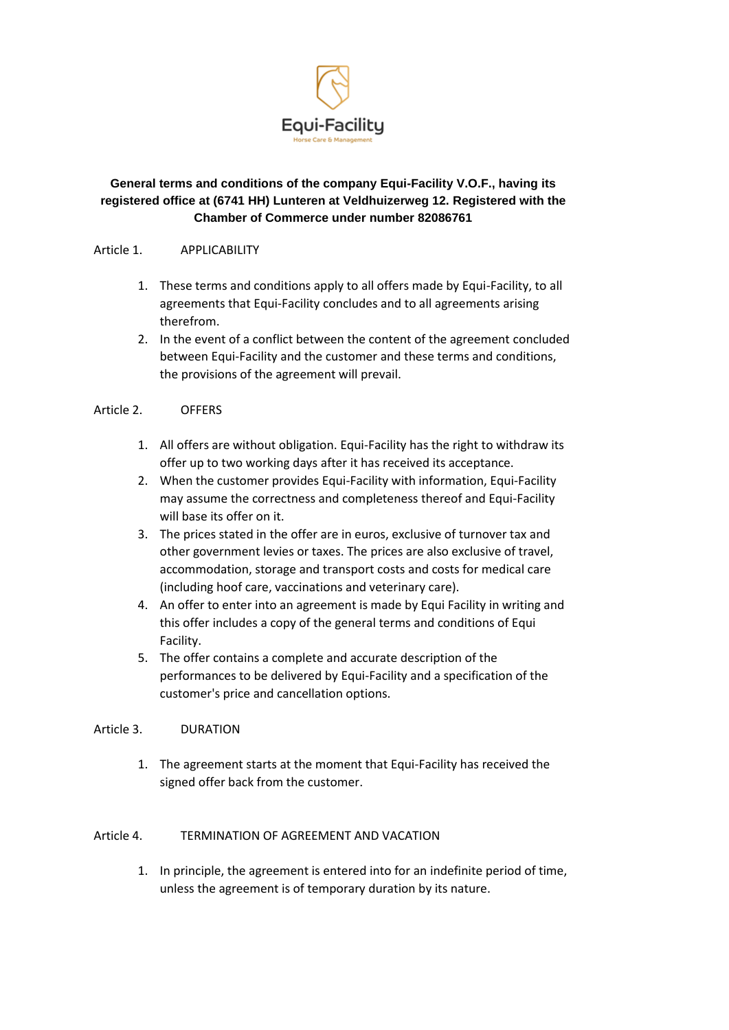

# **General terms and conditions of the company Equi-Facility V.O.F., having its registered office at (6741 HH) Lunteren at Veldhuizerweg 12. Registered with the Chamber of Commerce under number 82086761**

#### Article 1. APPLICABILITY

- 1. These terms and conditions apply to all offers made by Equi-Facility, to all agreements that Equi-Facility concludes and to all agreements arising therefrom.
- 2. In the event of a conflict between the content of the agreement concluded between Equi-Facility and the customer and these terms and conditions, the provisions of the agreement will prevail.

## Article 2. OFFERS

- 1. All offers are without obligation. Equi-Facility has the right to withdraw its offer up to two working days after it has received its acceptance.
- 2. When the customer provides Equi-Facility with information, Equi-Facility may assume the correctness and completeness thereof and Equi-Facility will base its offer on it.
- 3. The prices stated in the offer are in euros, exclusive of turnover tax and other government levies or taxes. The prices are also exclusive of travel, accommodation, storage and transport costs and costs for medical care (including hoof care, vaccinations and veterinary care).
- 4. An offer to enter into an agreement is made by Equi Facility in writing and this offer includes a copy of the general terms and conditions of Equi Facility.
- 5. The offer contains a complete and accurate description of the performances to be delivered by Equi-Facility and a specification of the customer's price and cancellation options.

## Article 3. DURATION

1. The agreement starts at the moment that Equi-Facility has received the signed offer back from the customer.

## Article 4. TERMINATION OF AGREEMENT AND VACATION

1. In principle, the agreement is entered into for an indefinite period of time, unless the agreement is of temporary duration by its nature.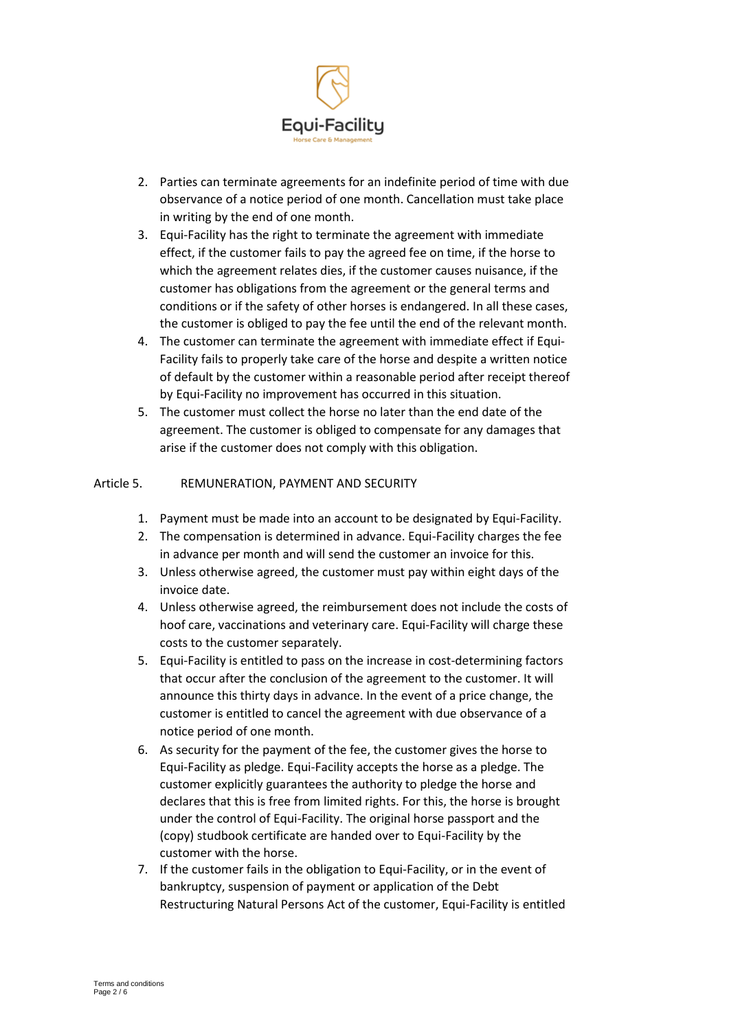

- 2. Parties can terminate agreements for an indefinite period of time with due observance of a notice period of one month. Cancellation must take place in writing by the end of one month.
- 3. Equi-Facility has the right to terminate the agreement with immediate effect, if the customer fails to pay the agreed fee on time, if the horse to which the agreement relates dies, if the customer causes nuisance, if the customer has obligations from the agreement or the general terms and conditions or if the safety of other horses is endangered. In all these cases, the customer is obliged to pay the fee until the end of the relevant month.
- 4. The customer can terminate the agreement with immediate effect if Equi-Facility fails to properly take care of the horse and despite a written notice of default by the customer within a reasonable period after receipt thereof by Equi-Facility no improvement has occurred in this situation.
- 5. The customer must collect the horse no later than the end date of the agreement. The customer is obliged to compensate for any damages that arise if the customer does not comply with this obligation.

## Article 5. REMUNERATION, PAYMENT AND SECURITY

- 1. Payment must be made into an account to be designated by Equi-Facility.
- 2. The compensation is determined in advance. Equi-Facility charges the fee in advance per month and will send the customer an invoice for this.
- 3. Unless otherwise agreed, the customer must pay within eight days of the invoice date.
- 4. Unless otherwise agreed, the reimbursement does not include the costs of hoof care, vaccinations and veterinary care. Equi-Facility will charge these costs to the customer separately.
- 5. Equi-Facility is entitled to pass on the increase in cost-determining factors that occur after the conclusion of the agreement to the customer. It will announce this thirty days in advance. In the event of a price change, the customer is entitled to cancel the agreement with due observance of a notice period of one month.
- 6. As security for the payment of the fee, the customer gives the horse to Equi-Facility as pledge. Equi-Facility accepts the horse as a pledge. The customer explicitly guarantees the authority to pledge the horse and declares that this is free from limited rights. For this, the horse is brought under the control of Equi-Facility. The original horse passport and the (copy) studbook certificate are handed over to Equi-Facility by the customer with the horse.
- 7. If the customer fails in the obligation to Equi-Facility, or in the event of bankruptcy, suspension of payment or application of the Debt Restructuring Natural Persons Act of the customer, Equi-Facility is entitled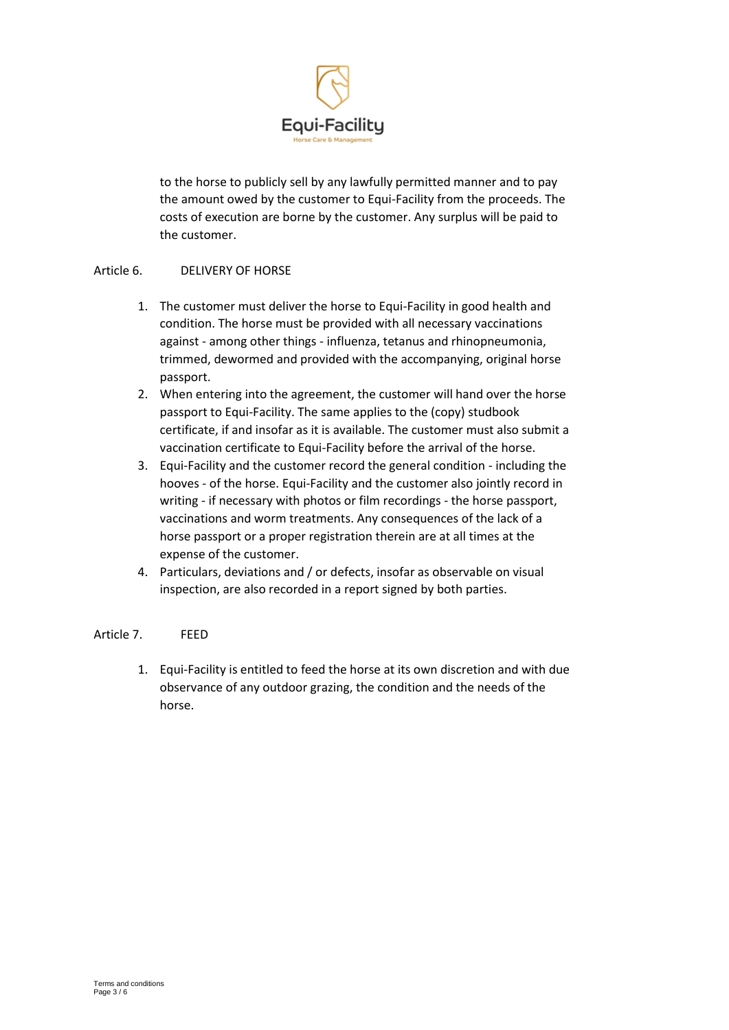

to the horse to publicly sell by any lawfully permitted manner and to pay the amount owed by the customer to Equi-Facility from the proceeds. The costs of execution are borne by the customer. Any surplus will be paid to the customer.

## Article 6. DELIVERY OF HORSE

- 1. The customer must deliver the horse to Equi-Facility in good health and condition. The horse must be provided with all necessary vaccinations against - among other things - influenza, tetanus and rhinopneumonia, trimmed, dewormed and provided with the accompanying, original horse passport.
- 2. When entering into the agreement, the customer will hand over the horse passport to Equi-Facility. The same applies to the (copy) studbook certificate, if and insofar as it is available. The customer must also submit a vaccination certificate to Equi-Facility before the arrival of the horse.
- 3. Equi-Facility and the customer record the general condition including the hooves - of the horse. Equi-Facility and the customer also jointly record in writing - if necessary with photos or film recordings - the horse passport, vaccinations and worm treatments. Any consequences of the lack of a horse passport or a proper registration therein are at all times at the expense of the customer.
- 4. Particulars, deviations and / or defects, insofar as observable on visual inspection, are also recorded in a report signed by both parties.

#### Article 7. FEED

1. Equi-Facility is entitled to feed the horse at its own discretion and with due observance of any outdoor grazing, the condition and the needs of the horse.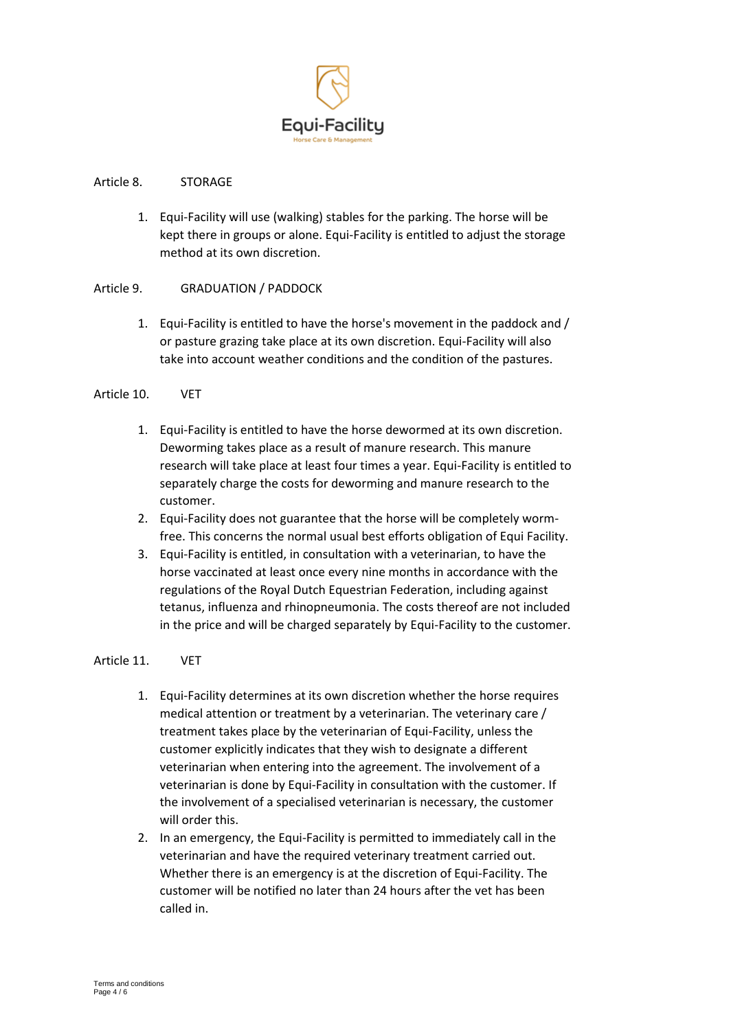

#### Article 8. STORAGE

1. Equi-Facility will use (walking) stables for the parking. The horse will be kept there in groups or alone. Equi-Facility is entitled to adjust the storage method at its own discretion.

#### Article 9. GRADUATION / PADDOCK

1. Equi-Facility is entitled to have the horse's movement in the paddock and / or pasture grazing take place at its own discretion. Equi-Facility will also take into account weather conditions and the condition of the pastures.

## Article 10. VET

- 1. Equi-Facility is entitled to have the horse dewormed at its own discretion. Deworming takes place as a result of manure research. This manure research will take place at least four times a year. Equi-Facility is entitled to separately charge the costs for deworming and manure research to the customer.
- 2. Equi-Facility does not guarantee that the horse will be completely wormfree. This concerns the normal usual best efforts obligation of Equi Facility.
- 3. Equi-Facility is entitled, in consultation with a veterinarian, to have the horse vaccinated at least once every nine months in accordance with the regulations of the Royal Dutch Equestrian Federation, including against tetanus, influenza and rhinopneumonia. The costs thereof are not included in the price and will be charged separately by Equi-Facility to the customer.

#### Article 11. VET

- 1. Equi-Facility determines at its own discretion whether the horse requires medical attention or treatment by a veterinarian. The veterinary care / treatment takes place by the veterinarian of Equi-Facility, unless the customer explicitly indicates that they wish to designate a different veterinarian when entering into the agreement. The involvement of a veterinarian is done by Equi-Facility in consultation with the customer. If the involvement of a specialised veterinarian is necessary, the customer will order this.
- 2. In an emergency, the Equi-Facility is permitted to immediately call in the veterinarian and have the required veterinary treatment carried out. Whether there is an emergency is at the discretion of Equi-Facility. The customer will be notified no later than 24 hours after the vet has been called in.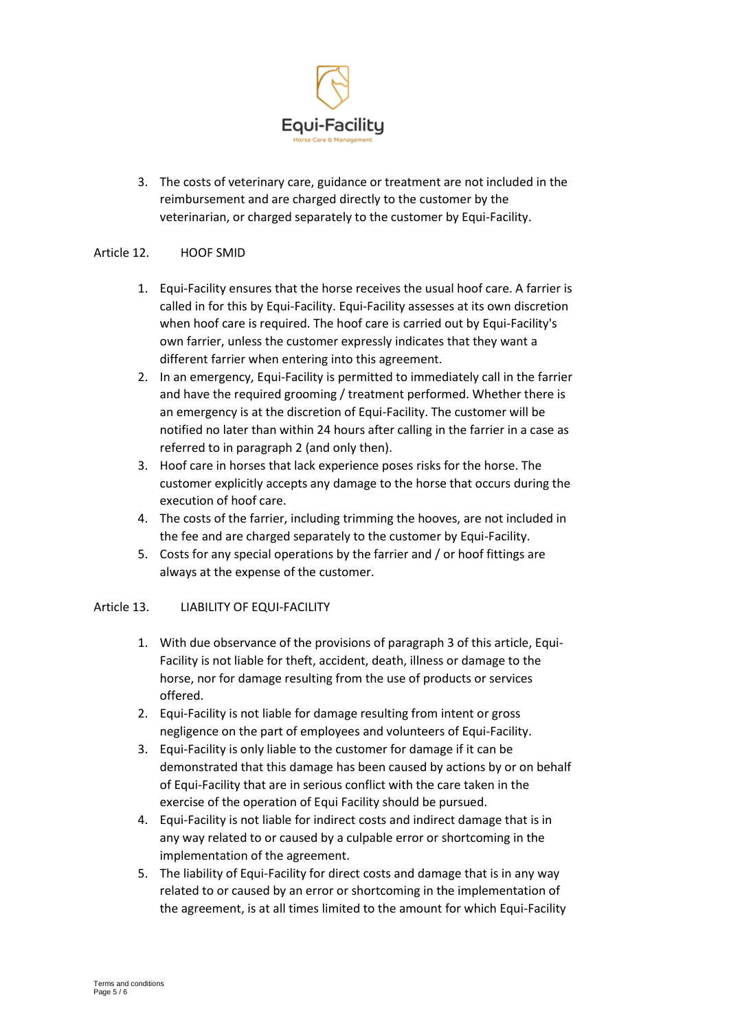

3. The costs of veterinary care, guidance or treatment are not included in the reimbursement and are charged directly to the customer by the veterinarian, or charged separately to the customer by Equi-Facility.

### Article 12. HOOF SMID

- 1. Equi-Facility ensures that the horse receives the usual hoof care. A farrier is called in for this by Equi-Facility. Equi-Facility assesses at its own discretion when hoof care is required. The hoof care is carried out by Equi-Facility's own farrier, unless the customer expressly indicates that they want a different farrier when entering into this agreement.
- 2. In an emergency, Equi-Facility is permitted to immediately call in the farrier and have the required grooming / treatment performed. Whether there is an emergency is at the discretion of Equi-Facility. The customer will be notified no later than within 24 hours after calling in the farrier in a case as referred to in paragraph 2 (and only then).
- 3. Hoof care in horses that lack experience poses risks for the horse. The customer explicitly accepts any damage to the horse that occurs during the execution of hoof care.
- 4. The costs of the farrier, including trimming the hooves, are not included in the fee and are charged separately to the customer by Equi-Facility.
- 5. Costs for any special operations by the farrier and / or hoof fittings are always at the expense of the customer.

#### Article 13. LIABILITY OF EQUI-FACILITY

- 1. With due observance of the provisions of paragraph 3 of this article, Equi-Facility is not liable for theft, accident, death, illness or damage to the horse, nor for damage resulting from the use of products or services offered.
- 2. Equi-Facility is not liable for damage resulting from intent or gross negligence on the part of employees and volunteers of Equi-Facility.
- 3. Equi-Facility is only liable to the customer for damage if it can be demonstrated that this damage has been caused by actions by or on behalf of Equi-Facility that are in serious conflict with the care taken in the exercise of the operation of Equi Facility should be pursued.
- 4. Equi-Facility is not liable for indirect costs and indirect damage that is in any way related to or caused by a culpable error or shortcoming in the implementation of the agreement.
- 5. The liability of Equi-Facility for direct costs and damage that is in any way related to or caused by an error or shortcoming in the implementation of the agreement, is at all times limited to the amount for which Equi-Facility